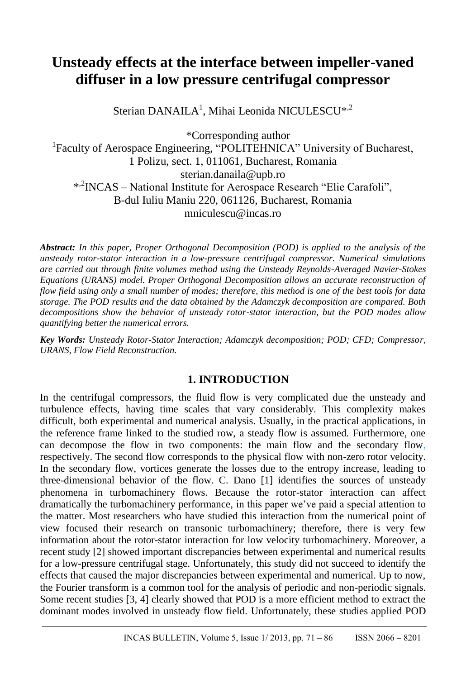# **Unsteady effects at the interface between impeller-vaned diffuser in a low pressure centrifugal compressor**

Sterian DANAILA<sup>1</sup>, Mihai Leonida NICULESCU<sup>\*,2</sup>

\*Corresponding author <sup>1</sup>Faculty of Aerospace Engineering, "POLITEHNICA" University of Bucharest, 1 Polizu, sect. 1, 011061, Bucharest, Romania sterian.danaila@upb.ro \* ,2 INCAS ‒ National Institute for Aerospace Research "Elie Carafoli", B-dul Iuliu Maniu 220, 061126, Bucharest, Romania mniculescu@incas.ro

*Abstract: In this paper, Proper Orthogonal Decomposition (POD) is applied to the analysis of the unsteady rotor-stator interaction in a low-pressure centrifugal compressor. Numerical simulations are carried out through finite volumes method using the Unsteady Reynolds-Averaged Navier-Stokes Equations (URANS) model. Proper Orthogonal Decomposition allows an accurate reconstruction of flow field using only a small number of modes; therefore, this method is one of the best tools for data storage. The POD results and the data obtained by the Adamczyk decomposition are compared. Both decompositions show the behavior of unsteady rotor-stator interaction, but the POD modes allow quantifying better the numerical errors.*

*Key Words: Unsteady Rotor-Stator Interaction; Adamczyk decomposition; POD; CFD; Compressor, URANS, Flow Field Reconstruction.*

## **1. INTRODUCTION**

In the centrifugal compressors, the fluid flow is very complicated due the unsteady and turbulence effects, having time scales that vary considerably. This complexity makes difficult, both experimental and numerical analysis. Usually, in the practical applications, in the reference frame linked to the studied row, a steady flow is assumed. Furthermore, one can decompose the flow in two components: the main flow and the secondary flow, respectively. The second flow corresponds to the physical flow with non-zero rotor velocity. In the secondary flow, vortices generate the losses due to the entropy increase, leading to three-dimensional behavior of the flow. C. Dano [1] identifies the sources of unsteady phenomena in turbomachinery flows. Because the rotor-stator interaction can affect dramatically the turbomachinery performance, in this paper we've paid a special attention to the matter. Most researchers who have studied this interaction from the numerical point of view focused their research on transonic turbomachinery; therefore, there is very few information about the rotor-stator interaction for low velocity turbomachinery. Moreover, a recent study [2] showed important discrepancies between experimental and numerical results for a low-pressure centrifugal stage. Unfortunately, this study did not succeed to identify the effects that caused the major discrepancies between experimental and numerical. Up to now, the Fourier transform is a common tool for the analysis of periodic and non-periodic signals. Some recent studies [3, 4] clearly showed that POD is a more efficient method to extract the dominant modes involved in unsteady flow field. Unfortunately, these studies applied POD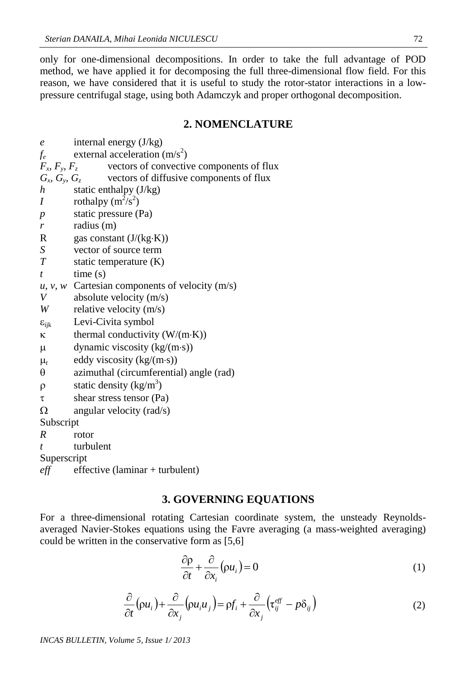only for one-dimensional decompositions. In order to take the full advantage of POD method, we have applied it for decomposing the full three-dimensional flow field. For this reason, we have considered that it is useful to study the rotor-stator interactions in a lowpressure centrifugal stage, using both Adamczyk and proper orthogonal decomposition.

## **2. NOMENCLATURE**

*e* internal energy (J/kg)  $f_e$  external acceleration (m/s<sup>2</sup>)  $F_x$ ,  $F_y$ vectors of convective components of flux  $G_x$ ,  $G_y$ vectors of diffusive components of flux *h* static enthalpy (J/kg) *I* rothalpy  $(m^2/s^2)$ *p* static pressure (Pa) *r* radius (m) R gas constant  $(J/(kg·K))$ *S* vector of source term *T* static temperature (K)  $t$  time (s)  $u, v, w$  Cartesian components of velocity (m/s) *V* absolute velocity (m/s) *W* relative velocity (m/s)  $\varepsilon_{ijk}$  Levi-Civita symbol  $\kappa$  thermal conductivity (W/(m·K))  $\mu$  dynamic viscosity (kg/(m·s))  $\mu_t$  eddy viscosity (kg/(m·s))  $\theta$  azimuthal (circumferential) angle (rad)  $\rho$  static density (kg/m<sup>3</sup>)  $\tau$  shear stress tensor (Pa)  $\Omega$  angular velocity (rad/s) Subscript *R* rotor *t* turbulent

Superscript

*eff* effective (laminar + turbulent)

## **3. GOVERNING EQUATIONS**

For a three-dimensional rotating Cartesian coordinate system, the unsteady Reynoldsaveraged Navier-Stokes equations using the Favre averaging (a mass-weighted averaging) could be written in the conservative form as [5,6]

$$
\frac{\partial \rho}{\partial t} + \frac{\partial}{\partial x_i} (\rho u_i) = 0 \tag{1}
$$

$$
\frac{\partial}{\partial t}(\rho u_i) + \frac{\partial}{\partial x_j}(\rho u_i u_j) = \rho f_i + \frac{\partial}{\partial x_j}(\tau_{ij}^{\text{eff}} - p\delta_{ij})
$$
\n(2)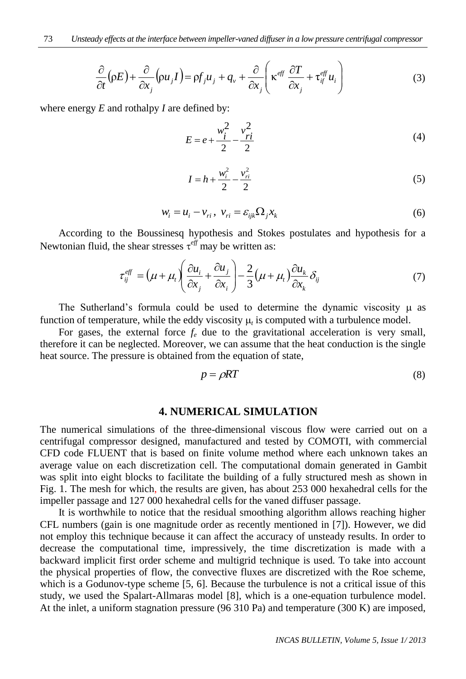$$
\frac{\partial}{\partial t}(\rho E) + \frac{\partial}{\partial x_j}(\rho u_j I) = \rho f_j u_j + q_v + \frac{\partial}{\partial x_j} \left(\kappa^{eff} \frac{\partial T}{\partial x_j} + \tau_{if}^{eff} u_i\right)
$$
(3)

where energy *E* and rothalpy *I* are defined by:

$$
E = e + \frac{w_i^2}{2} - \frac{v_{ri}^2}{2}
$$
 (4)

$$
I = h + \frac{w_i^2}{2} - \frac{v_{ri}^2}{2}
$$
 (5)

$$
w_i = u_i - v_{ri}, \ v_{ri} = \varepsilon_{ijk} \Omega_j x_k \tag{6}
$$

According to the Boussinesq hypothesis and Stokes postulates and hypothesis for a Newtonian fluid, the shear stresses  $\tau^{eff}$  may be written as:

$$
\tau_{ij}^{\text{eff}} = (\mu + \mu_i) \left( \frac{\partial u_i}{\partial x_j} + \frac{\partial u_j}{\partial x_i} \right) - \frac{2}{3} (\mu + \mu_i) \frac{\partial u_k}{\partial x_k} \delta_{ij} \tag{7}
$$

The Sutherland's formula could be used to determine the dynamic viscosity  $\mu$  as function of temperature, while the eddy viscosity  $\mu_t$  is computed with a turbulence model.

For gases, the external force  $f_e$  due to the gravitational acceleration is very small, therefore it can be neglected. Moreover, we can assume that the heat conduction is the single heat source. The pressure is obtained from the equation of state,

$$
p = \rho RT \tag{8}
$$

#### **4. NUMERICAL SIMULATION**

The numerical simulations of the three-dimensional viscous flow were carried out on a centrifugal compressor designed, manufactured and tested by COMOTI, with commercial CFD code FLUENT that is based on finite volume method where each unknown takes an average value on each discretization cell. The computational domain generated in Gambit was split into eight blocks to facilitate the building of a fully structured mesh as shown in Fig. 1. The mesh for which, the results are given, has about 253 000 hexahedral cells for the impeller passage and 127 000 hexahedral cells for the vaned diffuser passage.

It is worthwhile to notice that the residual smoothing algorithm allows reaching higher CFL numbers (gain is one magnitude order as recently mentioned in [7]). However, we did not employ this technique because it can affect the accuracy of unsteady results. In order to decrease the computational time, impressively, the time discretization is made with a backward implicit first order scheme and multigrid technique is used. To take into account the physical properties of flow, the convective fluxes are discretized with the Roe scheme, which is a Godunov-type scheme [5, 6]. Because the turbulence is not a critical issue of this study, we used the Spalart-Allmaras model [8], which is a one-equation turbulence model. At the inlet, a uniform stagnation pressure (96 310 Pa) and temperature (300 K) are imposed,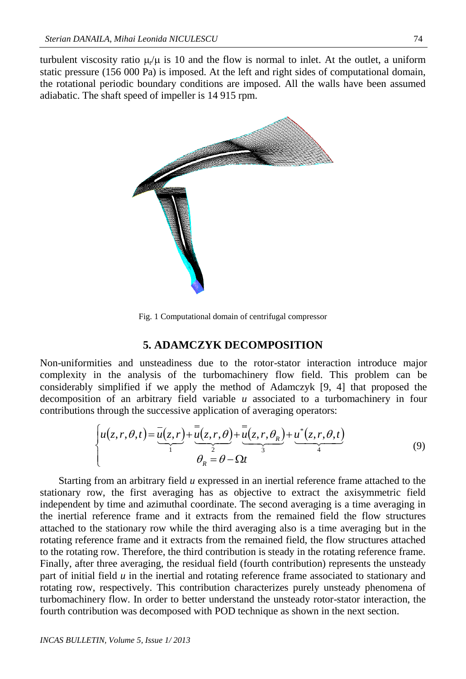turbulent viscosity ratio  $\mu/\mu$  is 10 and the flow is normal to inlet. At the outlet, a uniform static pressure (156 000 Pa) is imposed. At the left and right sides of computational domain, the rotational periodic boundary conditions are imposed. All the walls have been assumed adiabatic. The shaft speed of impeller is 14 915 rpm.



Fig. 1 Computational domain of centrifugal compressor

## **5. ADAMCZYK DECOMPOSITION**

Non-uniformities and unsteadiness due to the rotor-stator interaction introduce major complexity in the analysis of the turbomachinery flow field. This problem can be considerably simplified if we apply the method of Adamczyk [9, 4] that proposed the decomposition of an arbitrary field variable *u* associated to a turbomachinery in four contributions through the successive application of averaging operators:

$$
\begin{cases}\n u(z,r,\theta,t) = \overline{u}(z,r) + \overline{u}(z,r,\theta) + \overline{u}(z,r,\theta_R) + \underline{u}^*(z,r,\theta,t) \\
\theta_R = \theta - \Omega t\n\end{cases}
$$
\n(9)

Starting from an arbitrary field *u* expressed in an inertial reference frame attached to the stationary row, the first averaging has as objective to extract the axisymmetric field independent by time and azimuthal coordinate. The second averaging is a time averaging in the inertial reference frame and it extracts from the remained field the flow structures attached to the stationary row while the third averaging also is a time averaging but in the rotating reference frame and it extracts from the remained field, the flow structures attached to the rotating row. Therefore, the third contribution is steady in the rotating reference frame. Finally, after three averaging, the residual field (fourth contribution) represents the unsteady part of initial field *u* in the inertial and rotating reference frame associated to stationary and rotating row, respectively. This contribution characterizes purely unsteady phenomena of turbomachinery flow. In order to better understand the unsteady rotor-stator interaction, the fourth contribution was decomposed with POD technique as shown in the next section.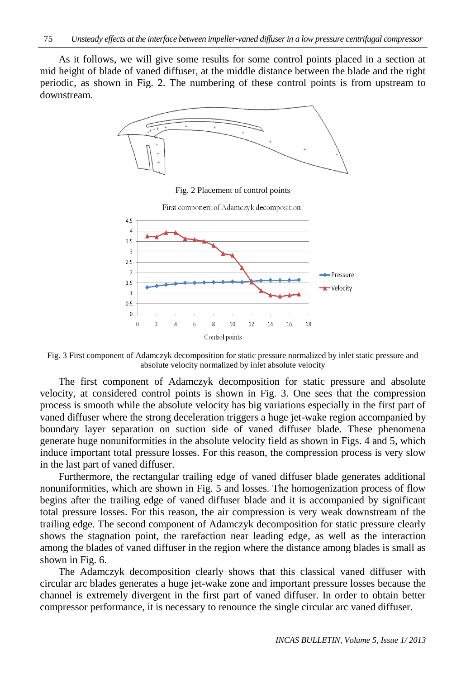As it follows, we will give some results for some control points placed in a section at mid height of blade of vaned diffuser, at the middle distance between the blade and the right periodic, as shown in Fig. 2. The numbering of these control points is from upstream to downstream.



Fig. 3 First component of Adamczyk decomposition for static pressure normalized by inlet static pressure and absolute velocity normalized by inlet absolute velocity

The first component of Adamczyk decomposition for static pressure and absolute velocity, at considered control points is shown in Fig. 3. One sees that the compression process is smooth while the absolute velocity has big variations especially in the first part of vaned diffuser where the strong deceleration triggers a huge jet-wake region accompanied by boundary layer separation on suction side of vaned diffuser blade. These phenomena generate huge nonuniformities in the absolute velocity field as shown in Figs. 4 and 5, which induce important total pressure losses. For this reason, the compression process is very slow in the last part of vaned diffuser.

Furthermore, the rectangular trailing edge of vaned diffuser blade generates additional nonuniformities, which are shown in Fig. 5 and losses. The homogenization process of flow begins after the trailing edge of vaned diffuser blade and it is accompanied by significant total pressure losses. For this reason, the air compression is very weak downstream of the trailing edge. The second component of Adamczyk decomposition for static pressure clearly shows the stagnation point, the rarefaction near leading edge, as well as the interaction among the blades of vaned diffuser in the region where the distance among blades is small as shown in Fig. 6.

The Adamczyk decomposition clearly shows that this classical vaned diffuser with circular arc blades generates a huge jet-wake zone and important pressure losses because the channel is extremely divergent in the first part of vaned diffuser. In order to obtain better compressor performance, it is necessary to renounce the single circular arc vaned diffuser.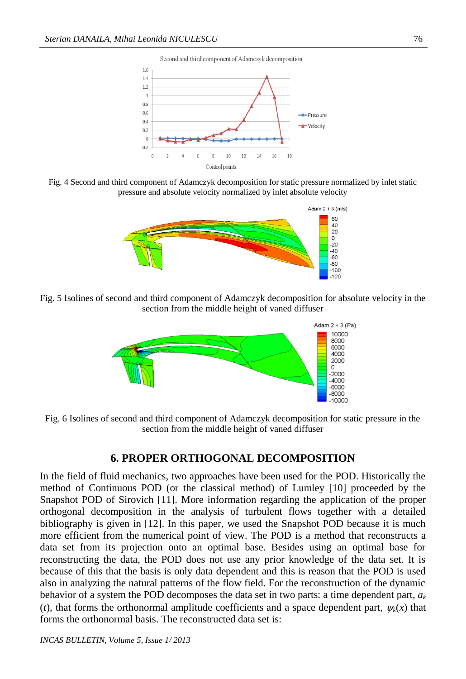

Fig. 4 Second and third component of Adamczyk decomposition for static pressure normalized by inlet static pressure and absolute velocity normalized by inlet absolute velocity



Fig. 5 Isolines of second and third component of Adamczyk decomposition for absolute velocity in the section from the middle height of vaned diffuser



Fig. 6 Isolines of second and third component of Adamczyk decomposition for static pressure in the section from the middle height of vaned diffuser

## **6. PROPER ORTHOGONAL DECOMPOSITION**

In the field of fluid mechanics, two approaches have been used for the POD. Historically the method of Continuous POD (or the classical method) of Lumley [10] proceeded by the Snapshot POD of Sirovich [11]. More information regarding the application of the proper orthogonal decomposition in the analysis of turbulent flows together with a detailed bibliography is given in [12]. In this paper, we used the Snapshot POD because it is much more efficient from the numerical point of view. The POD is a method that reconstructs a data set from its projection onto an optimal base. Besides using an optimal base for reconstructing the data, the POD does not use any prior knowledge of the data set. It is because of this that the basis is only data dependent and this is reason that the POD is used also in analyzing the natural patterns of the flow field. For the reconstruction of the dynamic behavior of a system the POD decomposes the data set in two parts: a time dependent part, *a<sup>k</sup>* (*t*), that forms the orthonormal amplitude coefficients and a space dependent part,  $\psi_k(x)$  that forms the orthonormal basis. The reconstructed data set is:

*INCAS BULLETIN, Volume 5, Issue 1/ 2013*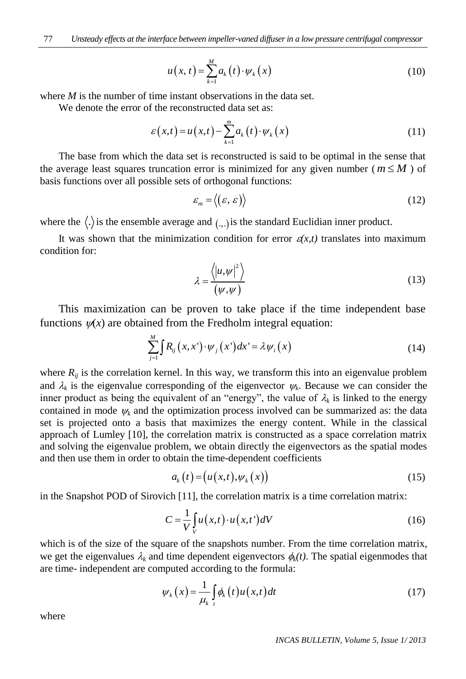$$
u(x,t) = \sum_{k=1}^{M} a_k(t) \cdot \psi_k(x)
$$
 (10)

where *M* is the number of time instant observations in the data set.

We denote the error of the reconstructed data set as:

$$
\varepsilon(x,t) = u(x,t) - \sum_{k=1}^{m} a_k(t) \cdot \psi_k(x)
$$
\n(11)

The base from which the data set is reconstructed is said to be optimal in the sense that the average least squares truncation error is minimized for any given number ( $m \le M$ ) of basis functions over all possible sets of orthogonal functions:

$$
\varepsilon_m = \langle (\varepsilon, \varepsilon) \rangle \tag{12}
$$

where the  $\langle . \rangle$  is the ensemble average and  $\langle ., . \rangle$  is the standard Euclidian inner product.

It was shown that the minimization condition for error  $\varepsilon(x,t)$  translates into maximum condition for:

$$
\lambda = \frac{\langle |u, \psi|^2 \rangle}{(\psi, \psi)}
$$
(13)

This maximization can be proven to take place if the time independent base functions  $\psi(x)$  are obtained from the Fredholm integral equation:

$$
\sum_{j=1}^{M} \int R_{ij}(x, x') \cdot \psi_j(x') dx' = \lambda \psi_i(x)
$$
\n(14)

where  $R_{ij}$  is the correlation kernel. In this way, we transform this into an eigenvalue problem and  $\lambda_k$  is the eigenvalue corresponding of the eigenvector  $\psi_k$ . Because we can consider the inner product as being the equivalent of an "energy", the value of  $\lambda_k$  is linked to the energy contained in mode  $\psi_k$  and the optimization process involved can be summarized as: the data set is projected onto a basis that maximizes the energy content. While in the classical approach of Lumley [10], the correlation matrix is constructed as a space correlation matrix and solving the eigenvalue problem, we obtain directly the eigenvectors as the spatial modes and then use them in order to obtain the time-dependent coefficients

$$
a_k(t) = (u(x,t), \psi_k(x))
$$
\n(15)

in the Snapshot POD of Sirovich [11], the correlation matrix is a time correlation matrix:

$$
C = \frac{1}{V} \int_{V} u(x,t) \cdot u(x,t')dV
$$
\n(16)

which is of the size of the square of the snapshots number. From the time correlation matrix, we get the eigenvalues  $\lambda_k$  and time dependent eigenvectors  $\phi_k(t)$ . The spatial eigenmodes that are time- independent are computed according to the formula:

$$
\psi_k(x) = \frac{1}{\mu_k} \int_{t} \phi_k(t) u(x, t) dt
$$
\n(17)

where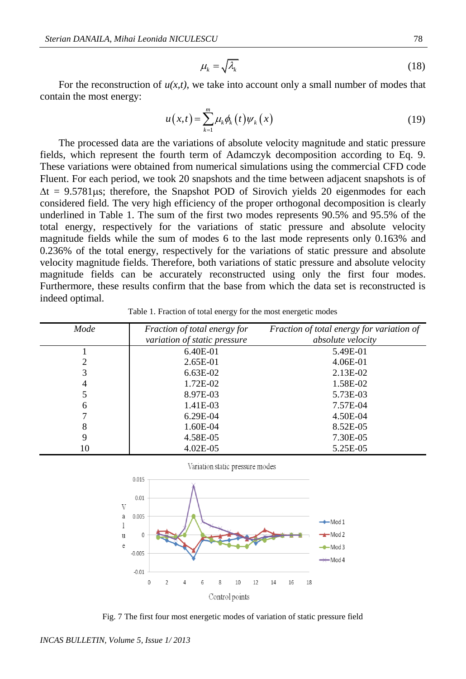$$
\mu_k = \sqrt{\lambda_k} \tag{18}
$$

For the reconstruction of  $u(x,t)$ , we take into account only a small number of modes that contain the most energy:

$$
u(x,t) = \sum_{k=1}^{m} \mu_k \phi_k(t) \psi_k(x)
$$
\n(19)

The processed data are the variations of absolute velocity magnitude and static pressure fields, which represent the fourth term of Adamczyk decomposition according to Eq. 9. These variations were obtained from numerical simulations using the commercial CFD code Fluent. For each period, we took 20 snapshots and the time between adjacent snapshots is of  $\Delta t = 9.5781 \mu s$ ; therefore, the Snapshot POD of Sirovich yields 20 eigenmodes for each considered field. The very high efficiency of the proper orthogonal decomposition is clearly underlined in Table 1. The sum of the first two modes represents 90.5% and 95.5% of the total energy, respectively for the variations of static pressure and absolute velocity magnitude fields while the sum of modes 6 to the last mode represents only 0.163% and 0.236% of the total energy, respectively for the variations of static pressure and absolute velocity magnitude fields. Therefore, both variations of static pressure and absolute velocity magnitude fields can be accurately reconstructed using only the first four modes. Furthermore, these results confirm that the base from which the data set is reconstructed is indeed optimal.

| Mode | Fraction of total energy for | Fraction of total energy for variation of |
|------|------------------------------|-------------------------------------------|
|      | variation of static pressure | <i>absolute velocity</i>                  |
|      | 6.40E-01                     | 5.49E-01                                  |
| 2    | 2.65E-01                     | 4.06E-01                                  |
| 3    | $6.63E-02$                   | 2.13E-02                                  |
| 4    | 1.72E-02                     | 1.58E-02                                  |
| 5    | 8.97E-03                     | 5.73E-03                                  |
| 6    | 1.41E-03                     | 7.57E-04                                  |
|      | $6.29E-04$                   | 4.50E-04                                  |
| 8    | 1.60E-04                     | 8.52E-05                                  |
| 9    | 4.58E-05                     | 7.30E-05                                  |
| 10   | $4.02E - 0.5$                | 5.25E-05                                  |

Table 1. Fraction of total energy for the most energetic modes



Fig. 7 The first four most energetic modes of variation of static pressure field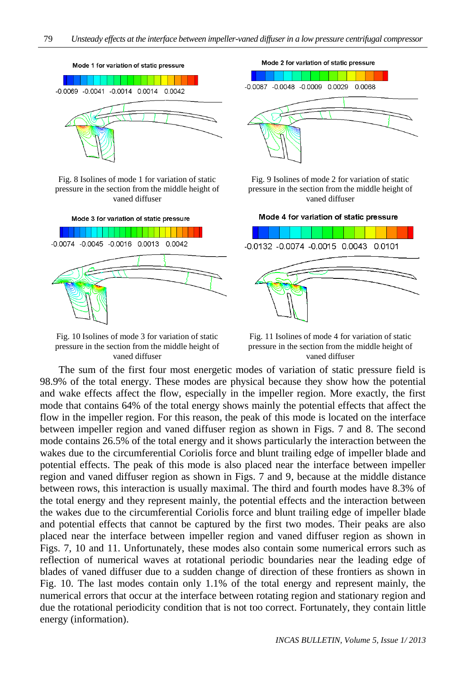

Fig. 8 Isolines of mode 1 for variation of static pressure in the section from the middle height of vaned diffuser



Fig. 10 Isolines of mode 3 for variation of static pressure in the section from the middle height of vaned diffuser

Mode 2 for variation of static pressure



Fig. 9 Isolines of mode 2 for variation of static pressure in the section from the middle height of vaned diffuser

Mode 4 for variation of static pressure



Fig. 11 Isolines of mode 4 for variation of static pressure in the section from the middle height of vaned diffuser

The sum of the first four most energetic modes of variation of static pressure field is 98.9% of the total energy. These modes are physical because they show how the potential and wake effects affect the flow, especially in the impeller region. More exactly, the first mode that contains 64% of the total energy shows mainly the potential effects that affect the flow in the impeller region. For this reason, the peak of this mode is located on the interface between impeller region and vaned diffuser region as shown in Figs. 7 and 8. The second mode contains 26.5% of the total energy and it shows particularly the interaction between the wakes due to the circumferential Coriolis force and blunt trailing edge of impeller blade and potential effects. The peak of this mode is also placed near the interface between impeller region and vaned diffuser region as shown in Figs. 7 and 9, because at the middle distance between rows, this interaction is usually maximal. The third and fourth modes have 8.3% of the total energy and they represent mainly, the potential effects and the interaction between the wakes due to the circumferential Coriolis force and blunt trailing edge of impeller blade and potential effects that cannot be captured by the first two modes. Their peaks are also placed near the interface between impeller region and vaned diffuser region as shown in Figs. 7, 10 and 11. Unfortunately, these modes also contain some numerical errors such as reflection of numerical waves at rotational periodic boundaries near the leading edge of blades of vaned diffuser due to a sudden change of direction of these frontiers as shown in Fig. 10. The last modes contain only 1.1% of the total energy and represent mainly, the numerical errors that occur at the interface between rotating region and stationary region and due the rotational periodicity condition that is not too correct. Fortunately, they contain little energy (information).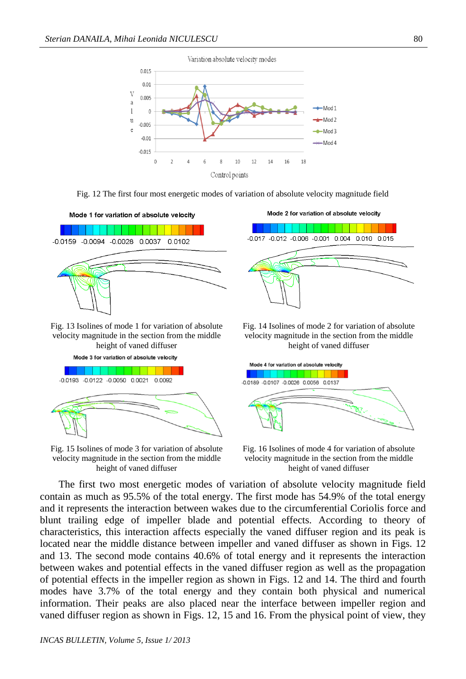





Fig. 13 Isolines of mode 1 for variation of absolute velocity magnitude in the section from the middle height of vaned diffuser



Fig. 15 Isolines of mode 3 for variation of absolute velocity magnitude in the section from the middle height of vaned diffuser

Fig. 14 Isolines of mode 2 for variation of absolute velocity magnitude in the section from the middle height of vaned diffuser



Fig. 16 Isolines of mode 4 for variation of absolute velocity magnitude in the section from the middle height of vaned diffuser

The first two most energetic modes of variation of absolute velocity magnitude field contain as much as 95.5% of the total energy. The first mode has 54.9% of the total energy and it represents the interaction between wakes due to the circumferential Coriolis force and blunt trailing edge of impeller blade and potential effects. According to theory of characteristics, this interaction affects especially the vaned diffuser region and its peak is located near the middle distance between impeller and vaned diffuser as shown in Figs. 12 and 13. The second mode contains 40.6% of total energy and it represents the interaction between wakes and potential effects in the vaned diffuser region as well as the propagation of potential effects in the impeller region as shown in Figs. 12 and 14. The third and fourth modes have 3.7% of the total energy and they contain both physical and numerical information. Their peaks are also placed near the interface between impeller region and vaned diffuser region as shown in Figs. 12, 15 and 16. From the physical point of view, they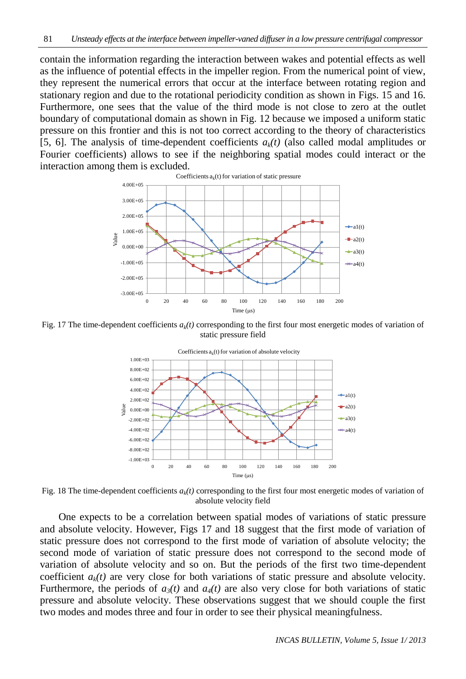contain the information regarding the interaction between wakes and potential effects as well as the influence of potential effects in the impeller region. From the numerical point of view, they represent the numerical errors that occur at the interface between rotating region and stationary region and due to the rotational periodicity condition as shown in Figs. 15 and 16. Furthermore, one sees that the value of the third mode is not close to zero at the outlet boundary of computational domain as shown in Fig. 12 because we imposed a uniform static pressure on this frontier and this is not too correct according to the theory of characteristics [5, 6]. The analysis of time-dependent coefficients  $a_k(t)$  (also called modal amplitudes or Fourier coefficients) allows to see if the neighboring spatial modes could interact or the interaction among them is excluded.



Fig. 17 The time-dependent coefficients  $a_k(t)$  corresponding to the first four most energetic modes of variation of static pressure field



Fig. 18 The time-dependent coefficients  $a_k(t)$  corresponding to the first four most energetic modes of variation of absolute velocity field

One expects to be a correlation between spatial modes of variations of static pressure and absolute velocity. However, Figs 17 and 18 suggest that the first mode of variation of static pressure does not correspond to the first mode of variation of absolute velocity; the second mode of variation of static pressure does not correspond to the second mode of variation of absolute velocity and so on. But the periods of the first two time-dependent coefficient  $a_k(t)$  are very close for both variations of static pressure and absolute velocity. Furthermore, the periods of  $a_3(t)$  and  $a_4(t)$  are also very close for both variations of static pressure and absolute velocity. These observations suggest that we should couple the first two modes and modes three and four in order to see their physical meaningfulness.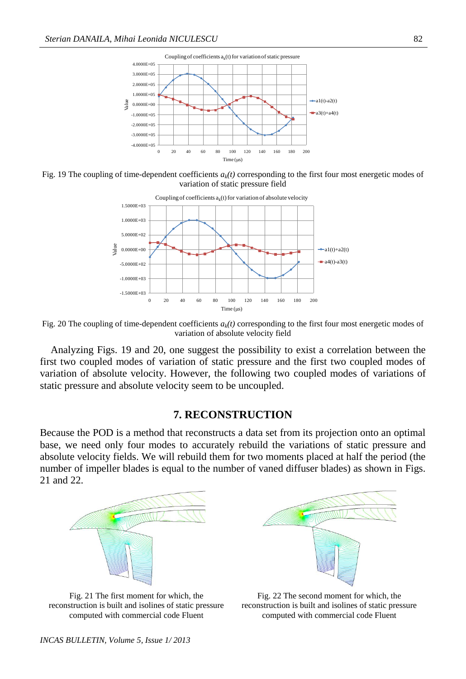

Fig. 19 The coupling of time-dependent coefficients  $a_k(t)$  corresponding to the first four most energetic modes of variation of static pressure field



Fig. 20 The coupling of time-dependent coefficients  $a_k(t)$  corresponding to the first four most energetic modes of variation of absolute velocity field

Analyzing Figs. 19 and 20, one suggest the possibility to exist a correlation between the first two coupled modes of variation of static pressure and the first two coupled modes of variation of absolute velocity. However, the following two coupled modes of variations of static pressure and absolute velocity seem to be uncoupled.

### **7. RECONSTRUCTION**

Because the POD is a method that reconstructs a data set from its projection onto an optimal base, we need only four modes to accurately rebuild the variations of static pressure and absolute velocity fields. We will rebuild them for two moments placed at half the period (the number of impeller blades is equal to the number of vaned diffuser blades) as shown in Figs. 21 and 22.



Fig. 21 The first moment for which, the reconstruction is built and isolines of static pressure computed with commercial code Fluent



Fig. 22 The second moment for which, the reconstruction is built and isolines of static pressure computed with commercial code Fluent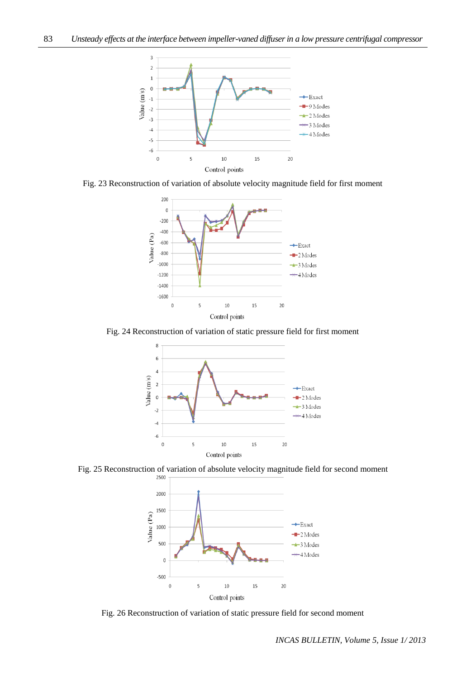





Fig. 24 Reconstruction of variation of static pressure field for first moment



Fig. 25 Reconstruction of variation of absolute velocity magnitude field for second moment



Fig. 26 Reconstruction of variation of static pressure field for second moment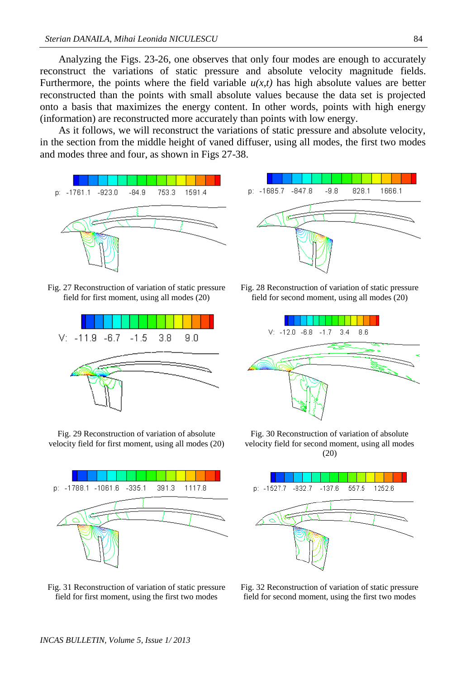Analyzing the Figs. 23-26, one observes that only four modes are enough to accurately reconstruct the variations of static pressure and absolute velocity magnitude fields. Furthermore, the points where the field variable  $u(x,t)$  has high absolute values are better reconstructed than the points with small absolute values because the data set is projected onto a basis that maximizes the energy content. In other words, points with high energy (information) are reconstructed more accurately than points with low energy.

As it follows, we will reconstruct the variations of static pressure and absolute velocity, in the section from the middle height of vaned diffuser, using all modes, the first two modes and modes three and four, as shown in Figs 27-38.



Fig. 27 Reconstruction of variation of static pressure field for first moment, using all modes (20)



Fig. 29 Reconstruction of variation of absolute velocity field for first moment, using all modes (20)



Fig. 31 Reconstruction of variation of static pressure field for first moment, using the first two modes



Fig. 28 Reconstruction of variation of static pressure field for second moment, using all modes (20)



Fig. 30 Reconstruction of variation of absolute velocity field for second moment, using all modes (20)



Fig. 32 Reconstruction of variation of static pressure field for second moment, using the first two modes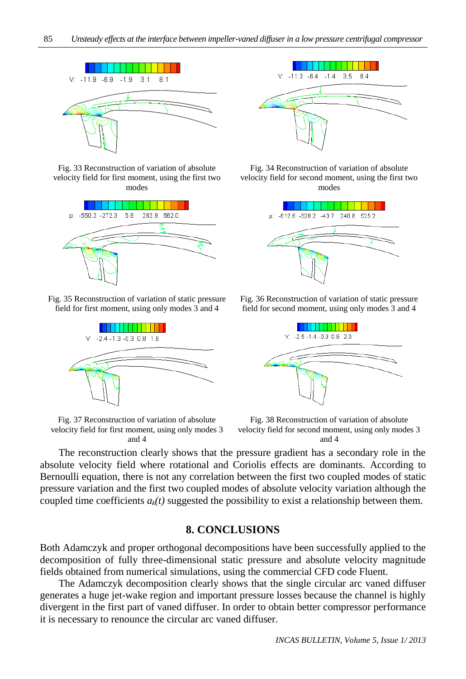

Fig. 33 Reconstruction of variation of absolute velocity field for first moment, using the first two modes



Fig. 35 Reconstruction of variation of static pressure field for first moment, using only modes 3 and 4



Fig. 37 Reconstruction of variation of absolute velocity field for first moment, using only modes 3 and 4



Fig. 34 Reconstruction of variation of absolute velocity field for second moment, using the first two modes



Fig. 36 Reconstruction of variation of static pressure field for second moment, using only modes 3 and 4



Fig. 38 Reconstruction of variation of absolute velocity field for second moment, using only modes 3 and 4

The reconstruction clearly shows that the pressure gradient has a secondary role in the absolute velocity field where rotational and Coriolis effects are dominants. According to Bernoulli equation, there is not any correlation between the first two coupled modes of static pressure variation and the first two coupled modes of absolute velocity variation although the coupled time coefficients  $a_k(t)$  suggested the possibility to exist a relationship between them.

#### **8. CONCLUSIONS**

Both Adamczyk and proper orthogonal decompositions have been successfully applied to the decomposition of fully three-dimensional static pressure and absolute velocity magnitude fields obtained from numerical simulations, using the commercial CFD code Fluent.

The Adamczyk decomposition clearly shows that the single circular arc vaned diffuser generates a huge jet-wake region and important pressure losses because the channel is highly divergent in the first part of vaned diffuser. In order to obtain better compressor performance it is necessary to renounce the circular arc vaned diffuser.